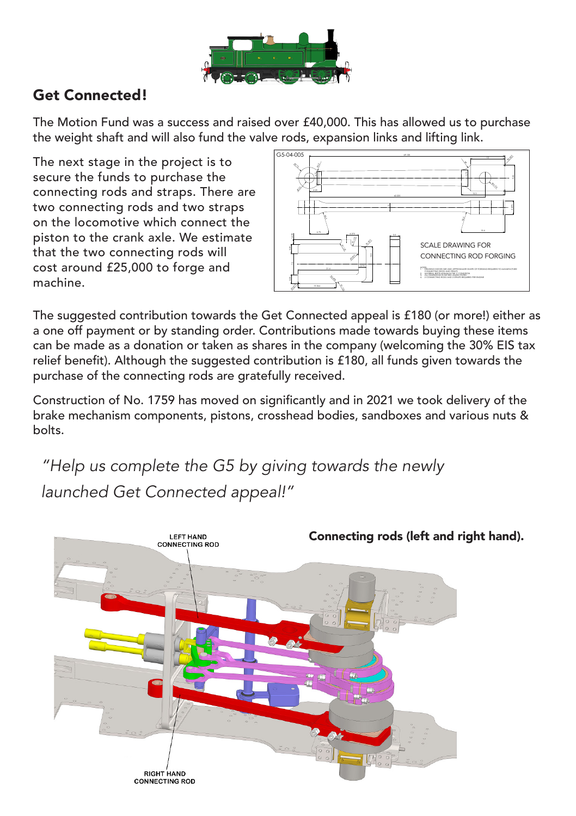

## Get Connected!

The Motion Fund was a success and raised over £40,000. This has allowed us to purchase the weight shaft and will also fund the valve rods, expansion links and lifting link.

The next stage in the project is to secure the funds to purchase the connecting rods and straps. There are two connecting rods and two straps on the locomotive which connect the piston to the crank axle. We estimate that the two connecting rods will cost around £25,000 to forge and machine.



The suggested contribution towards the Get Connected appeal is £180 (or more!) either as a one off payment or by standing order. Contributions made towards buying these items can be made as a donation or taken as shares in the company (welcoming the 30% EIS tax relief benefit). Although the suggested contribution is £180, all funds given towards the purchase of the connecting rods are gratefully received.

Construction of No. 1759 has moved on significantly and in 2021 we took delivery of the brake mechanism components, pistons, crosshead bodies, sandboxes and various nuts & bolts.

*"Help us complete the G5 by giving towards the newly launched Get Connected appeal!"*